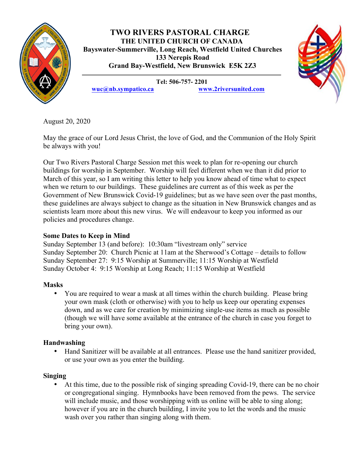

# **TWO RIVERS PASTORAL CHARGE THE UNITED CHURCH OF CANADA Bayswater-Summerville, Long Reach, Westfield United Churches 133 Nerepis Road Grand Bay-Westfield, New Brunswick E5K 2Z3**



**Tel: 506-757- 2201 wuc@nb.sympatico.ca www.2riversunited.com**

August 20, 2020

May the grace of our Lord Jesus Christ, the love of God, and the Communion of the Holy Spirit be always with you!

Our Two Rivers Pastoral Charge Session met this week to plan for re-opening our church buildings for worship in September. Worship will feel different when we than it did prior to March of this year, so I am writing this letter to help you know ahead of time what to expect when we return to our buildings. These guidelines are current as of this week as per the Government of New Brunswick Covid-19 guidelines; but as we have seen over the past months, these guidelines are always subject to change as the situation in New Brunswick changes and as scientists learn more about this new virus. We will endeavour to keep you informed as our policies and procedures change.

# **Some Dates to Keep in Mind**

Sunday September 13 (and before): 10:30am "livestream only" service Sunday September 20: Church Picnic at 11am at the Sherwood's Cottage – details to follow Sunday September 27: 9:15 Worship at Summerville; 11:15 Worship at Westfield Sunday October 4: 9:15 Worship at Long Reach; 11:15 Worship at Westfield

# **Masks**

• You are required to wear a mask at all times within the church building. Please bring your own mask (cloth or otherwise) with you to help us keep our operating expenses down, and as we care for creation by minimizing single-use items as much as possible (though we will have some available at the entrance of the church in case you forget to bring your own).

# **Handwashing**

• Hand Sanitizer will be available at all entrances. Please use the hand sanitizer provided, or use your own as you enter the building.

# **Singing**

• At this time, due to the possible risk of singing spreading Covid-19, there can be no choir or congregational singing. Hymnbooks have been removed from the pews. The service will include music, and those worshipping with us online will be able to sing along; however if you are in the church building, I invite you to let the words and the music wash over you rather than singing along with them.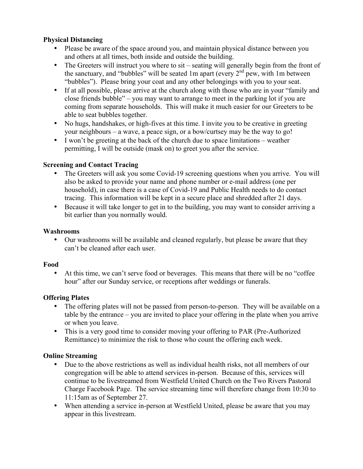## **Physical Distancing**

- Please be aware of the space around you, and maintain physical distance between you and others at all times, both inside and outside the building.
- The Greeters will instruct you where to sit seating will generally begin from the front of the sanctuary, and "bubbles" will be seated 1m apart (every  $2<sup>nd</sup>$  pew, with 1m between "bubbles"). Please bring your coat and any other belongings with you to your seat.
- If at all possible, please arrive at the church along with those who are in your "family and close friends bubble" – you may want to arrange to meet in the parking lot if you are coming from separate households. This will make it much easier for our Greeters to be able to seat bubbles together.
- No hugs, handshakes, or high-fives at this time. I invite you to be creative in greeting your neighbours – a wave, a peace sign, or a bow/curtsey may be the way to go!
- I won't be greeting at the back of the church due to space limitations weather permitting, I will be outside (mask on) to greet you after the service.

## **Screening and Contact Tracing**

- The Greeters will ask you some Covid-19 screening questions when you arrive. You will also be asked to provide your name and phone number or e-mail address (one per household), in case there is a case of Covid-19 and Public Health needs to do contact tracing. This information will be kept in a secure place and shredded after 21 days.
- Because it will take longer to get in to the building, you may want to consider arriving a bit earlier than you normally would.

### **Washrooms**

• Our washrooms will be available and cleaned regularly, but please be aware that they can't be cleaned after each user.

### **Food**

• At this time, we can't serve food or beverages. This means that there will be no "coffee hour" after our Sunday service, or receptions after weddings or funerals.

# **Offering Plates**

- The offering plates will not be passed from person-to-person. They will be available on a table by the entrance – you are invited to place your offering in the plate when you arrive or when you leave.
- This is a very good time to consider moving your offering to PAR (Pre-Authorized Remittance) to minimize the risk to those who count the offering each week.

# **Online Streaming**

- Due to the above restrictions as well as individual health risks, not all members of our congregation will be able to attend services in-person. Because of this, services will continue to be livestreamed from Westfield United Church on the Two Rivers Pastoral Charge Facebook Page. The service streaming time will therefore change from 10:30 to 11:15am as of September 27.
- When attending a service in-person at Westfield United, please be aware that you may appear in this livestream.